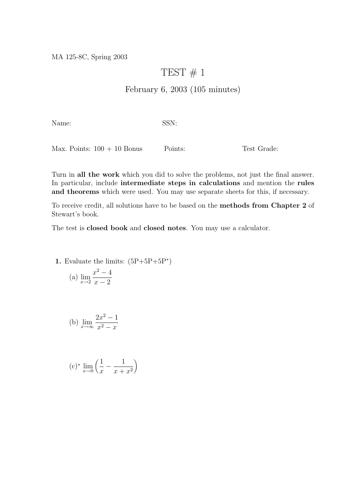MA 125-8C, Spring 2003

## TEST  $# 1$

## February 6, 2003 (105 minutes)

Name: SSN:

Max. Points:  $100 + 10$  Bonus Points: Test Grade:

Turn in all the work which you did to solve the problems, not just the final answer. In particular, include intermediate steps in calculations and mention the rules and theorems which were used. You may use separate sheets for this, if necessary.

To receive credit, all solutions have to be based on the methods from Chapter 2 of Stewart's book.

The test is closed book and closed notes. You may use a calculator.

1. Evaluate the limits:  $(5P+5P+5P^*)$ 

(a) 
$$
\lim_{x \to 2} \frac{x^2 - 4}{x - 2}
$$

(b) 
$$
\lim_{x \to \infty} \frac{2x^2 - 1}{x^2 - x}
$$

$$
(c)^* \lim_{x \to 0} \left( \frac{1}{x} - \frac{1}{x + x^2} \right)
$$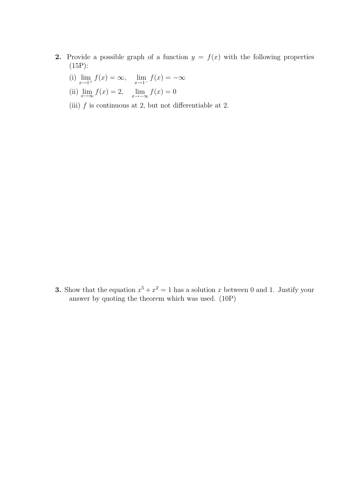- 2. Provide a possible graph of a function  $y = f(x)$  with the following properties (15P):
	- (i)  $\lim_{x \to 1^+} f(x) = \infty$ ,  $\lim_{x \to 1^-} f(x) = -\infty$
	- (ii)  $\lim_{x \to \infty} f(x) = 2$ ,  $\lim_{x \to -\infty} f(x) = 0$
	- (iii)  $f$  is continuous at 2, but not differentiable at 2.

**3.** Show that the equation  $x^5 + x^2 = 1$  has a solution x between 0 and 1. Justify your answer by quoting the theorem which was used. (10P)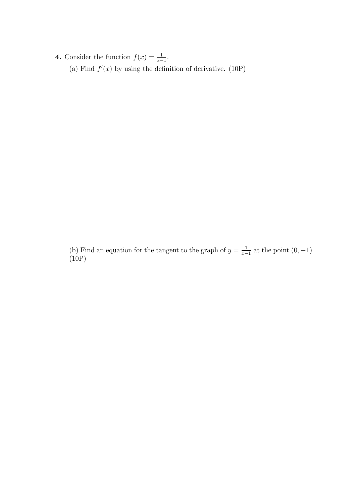4. Consider the function  $f(x) = \frac{1}{x-1}$ . (a) Find  $f'(x)$  by using the definition of derivative. (10P)

(b) Find an equation for the tangent to the graph of  $y = \frac{1}{x}$  $\frac{1}{x-1}$  at the point  $(0, -1)$ .  $(10P)$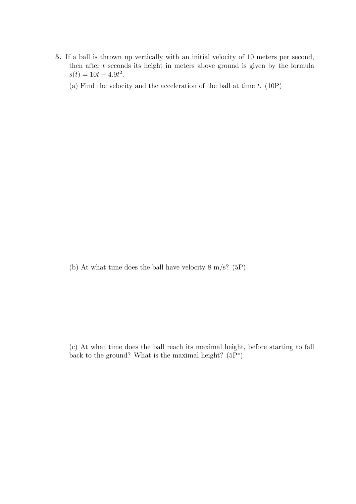- 5. If a ball is thrown up vertically with an initial velocity of 10 meters per second, then after  $t$  seconds its height in meters above ground is given by the formula  $s(t) = 10t - 4.9t^2$ .
	- (a) Find the velocity and the acceleration of the ball at time  $t$ . (10P)

(b) At what time does the ball have velocity 8 m/s? (5P)

<sup>(</sup>c) At what time does the ball reach its maximal height, before starting to fall back to the ground? What is the maximal height? (5P<sup>∗</sup> ).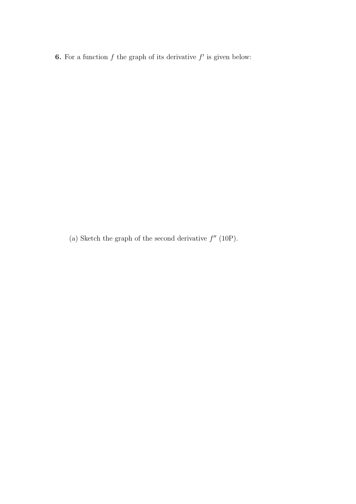**6.** For a function  $f$  the graph of its derivative  $f'$  is given below:

(a) Sketch the graph of the second derivative  $f''(10P)$ .